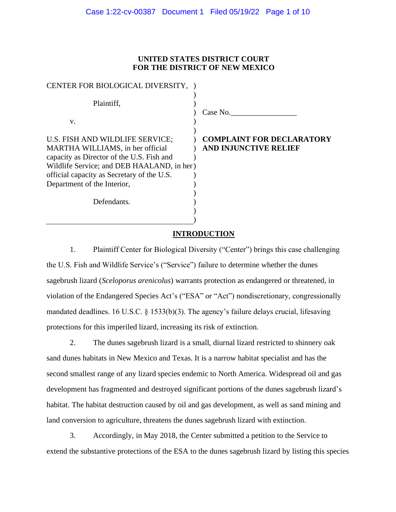# **UNITED STATES DISTRICT COURT FOR THE DISTRICT OF NEW MEXICO**

| CENTER FOR BIOLOGICAL DIVERSITY,                                                                                                                                                                                                            |                                                                  |
|---------------------------------------------------------------------------------------------------------------------------------------------------------------------------------------------------------------------------------------------|------------------------------------------------------------------|
| Plaintiff,<br>V.                                                                                                                                                                                                                            | Case No.                                                         |
| U.S. FISH AND WILDLIFE SERVICE;<br>MARTHA WILLIAMS, in her official<br>capacity as Director of the U.S. Fish and<br>Wildlife Service; and DEB HAALAND, in her)<br>official capacity as Secretary of the U.S.<br>Department of the Interior, | <b>COMPLAINT FOR DECLARATORY</b><br><b>AND INJUNCTIVE RELIEF</b> |
| Defendants.                                                                                                                                                                                                                                 |                                                                  |

# **INTRODUCTION**

1. Plaintiff Center for Biological Diversity ("Center") brings this case challenging the U.S. Fish and Wildlife Service's ("Service") failure to determine whether the dunes sagebrush lizard (*Sceloporus arenicolus*) warrants protection as endangered or threatened, in violation of the Endangered Species Act's ("ESA" or "Act") nondiscretionary, congressionally mandated deadlines. 16 U.S.C. § 1533(b)(3). The agency's failure delays crucial, lifesaving protections for this imperiled lizard, increasing its risk of extinction.

2. The dunes sagebrush lizard is a small, diurnal lizard restricted to shinnery oak sand dunes habitats in New Mexico and Texas. It is a narrow habitat specialist and has the second smallest range of any lizard species endemic to North America. Widespread oil and gas development has fragmented and destroyed significant portions of the dunes sagebrush lizard's habitat. The habitat destruction caused by oil and gas development, as well as sand mining and land conversion to agriculture, threatens the dunes sagebrush lizard with extinction.

3. Accordingly, in May 2018, the Center submitted a petition to the Service to extend the substantive protections of the ESA to the dunes sagebrush lizard by listing this species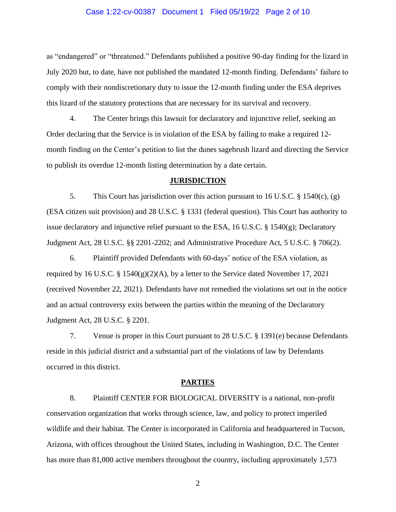#### Case 1:22-cv-00387 Document 1 Filed 05/19/22 Page 2 of 10

as "endangered" or "threatened." Defendants published a positive 90-day finding for the lizard in July 2020 but, to date, have not published the mandated 12-month finding. Defendants' failure to comply with their nondiscretionary duty to issue the 12-month finding under the ESA deprives this lizard of the statutory protections that are necessary for its survival and recovery.

4. The Center brings this lawsuit for declaratory and injunctive relief, seeking an Order declaring that the Service is in violation of the ESA by failing to make a required 12 month finding on the Center's petition to list the dunes sagebrush lizard and directing the Service to publish its overdue 12-month listing determination by a date certain.

## **JURISDICTION**

5. This Court has jurisdiction over this action pursuant to 16 U.S.C. § 1540(c), (g) (ESA citizen suit provision) and 28 U.S.C. § 1331 (federal question). This Court has authority to issue declaratory and injunctive relief pursuant to the ESA, 16 U.S.C. § 1540(g); Declaratory Judgment Act, 28 U.S.C. §§ 2201-2202; and Administrative Procedure Act, 5 U.S.C. § 706(2).

6. Plaintiff provided Defendants with 60-days' notice of the ESA violation, as required by 16 U.S.C. § 1540 $(g)(2)(A)$ , by a letter to the Service dated November 17, 2021 (received November 22, 2021). Defendants have not remedied the violations set out in the notice and an actual controversy exits between the parties within the meaning of the Declaratory Judgment Act, 28 U.S.C. § 2201.

7. Venue is proper in this Court pursuant to 28 U.S.C. § 1391(e) because Defendants reside in this judicial district and a substantial part of the violations of law by Defendants occurred in this district.

#### **PARTIES**

8. Plaintiff CENTER FOR BIOLOGICAL DIVERSITY is a national, non-profit conservation organization that works through science, law, and policy to protect imperiled wildlife and their habitat. The Center is incorporated in California and headquartered in Tucson, Arizona, with offices throughout the United States, including in Washington, D.C. The Center has more than 81,000 active members throughout the country, including approximately 1,573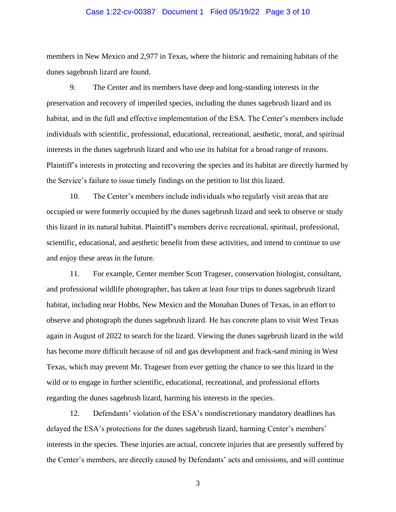### Case 1:22-cv-00387 Document 1 Filed 05/19/22 Page 3 of 10

members in New Mexico and 2,977 in Texas, where the historic and remaining habitats of the dunes sagebrush lizard are found.

9. The Center and its members have deep and long-standing interests in the preservation and recovery of imperiled species, including the dunes sagebrush lizard and its habitat, and in the full and effective implementation of the ESA. The Center's members include individuals with scientific, professional, educational, recreational, aesthetic, moral, and spiritual interests in the dunes sagebrush lizard and who use its habitat for a broad range of reasons. Plaintiff's interests in protecting and recovering the species and its habitat are directly harmed by the Service's failure to issue timely findings on the petition to list this lizard.

10. The Center's members include individuals who regularly visit areas that are occupied or were formerly occupied by the dunes sagebrush lizard and seek to observe or study this lizard in its natural habitat. Plaintiff's members derive recreational, spiritual, professional, scientific, educational, and aesthetic benefit from these activities, and intend to continue to use and enjoy these areas in the future.

11. For example, Center member Scott Trageser, conservation biologist, consultant, and professional wildlife photographer, has taken at least four trips to dunes sagebrush lizard habitat, including near Hobbs, New Mexico and the Monahan Dunes of Texas, in an effort to observe and photograph the dunes sagebrush lizard. He has concrete plans to visit West Texas again in August of 2022 to search for the lizard. Viewing the dunes sagebrush lizard in the wild has become more difficult because of oil and gas development and frack-sand mining in West Texas, which may prevent Mr. Trageser from ever getting the chance to see this lizard in the wild or to engage in further scientific, educational, recreational, and professional efforts regarding the dunes sagebrush lizard, harming his interests in the species.

12. Defendants' violation of the ESA's nondiscretionary mandatory deadlines has delayed the ESA's protections for the dunes sagebrush lizard, harming Center's members' interests in the species. These injuries are actual, concrete injuries that are presently suffered by the Center's members, are directly caused by Defendants' acts and omissions, and will continue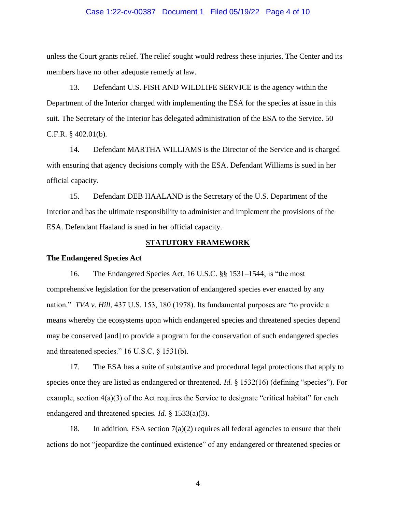#### Case 1:22-cv-00387 Document 1 Filed 05/19/22 Page 4 of 10

unless the Court grants relief. The relief sought would redress these injuries. The Center and its members have no other adequate remedy at law.

13. Defendant U.S. FISH AND WILDLIFE SERVICE is the agency within the Department of the Interior charged with implementing the ESA for the species at issue in this suit. The Secretary of the Interior has delegated administration of the ESA to the Service. 50 C.F.R. § 402.01(b).

14. Defendant MARTHA WILLIAMS is the Director of the Service and is charged with ensuring that agency decisions comply with the ESA. Defendant Williams is sued in her official capacity.

15. Defendant DEB HAALAND is the Secretary of the U.S. Department of the Interior and has the ultimate responsibility to administer and implement the provisions of the ESA. Defendant Haaland is sued in her official capacity.

### **STATUTORY FRAMEWORK**

#### **The Endangered Species Act**

16. The Endangered Species Act, 16 U.S.C. §§ 1531–1544, is "the most comprehensive legislation for the preservation of endangered species ever enacted by any nation." *TVA v. Hill*, 437 U.S. 153, 180 (1978). Its fundamental purposes are "to provide a means whereby the ecosystems upon which endangered species and threatened species depend may be conserved [and] to provide a program for the conservation of such endangered species and threatened species." 16 U.S.C. § 1531(b).

17. The ESA has a suite of substantive and procedural legal protections that apply to species once they are listed as endangered or threatened. *Id.* § 1532(16) (defining "species"). For example, section 4(a)(3) of the Act requires the Service to designate "critical habitat" for each endangered and threatened species. *Id.* § 1533(a)(3).

18. In addition, ESA section  $7(a)(2)$  requires all federal agencies to ensure that their actions do not "jeopardize the continued existence" of any endangered or threatened species or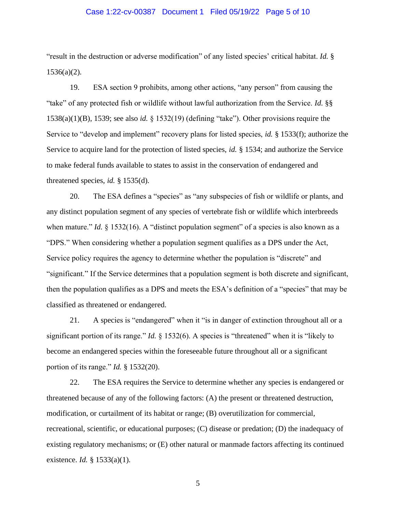### Case 1:22-cv-00387 Document 1 Filed 05/19/22 Page 5 of 10

"result in the destruction or adverse modification" of any listed species' critical habitat. *Id.* § 1536(a)(2).

19. ESA section 9 prohibits, among other actions, "any person" from causing the "take" of any protected fish or wildlife without lawful authorization from the Service. *Id.* §§ 1538(a)(1)(B), 1539; see also *id.* § 1532(19) (defining "take"). Other provisions require the Service to "develop and implement" recovery plans for listed species, *id.* § 1533(f); authorize the Service to acquire land for the protection of listed species, *id.* § 1534; and authorize the Service to make federal funds available to states to assist in the conservation of endangered and threatened species, *id.* § 1535(d).

20. The ESA defines a "species" as "any subspecies of fish or wildlife or plants, and any distinct population segment of any species of vertebrate fish or wildlife which interbreeds when mature." *Id.* § 1532(16). A "distinct population segment" of a species is also known as a "DPS." When considering whether a population segment qualifies as a DPS under the Act, Service policy requires the agency to determine whether the population is "discrete" and "significant." If the Service determines that a population segment is both discrete and significant, then the population qualifies as a DPS and meets the ESA's definition of a "species" that may be classified as threatened or endangered.

21. A species is "endangered" when it "is in danger of extinction throughout all or a significant portion of its range." *Id.* § 1532(6). A species is "threatened" when it is "likely to become an endangered species within the foreseeable future throughout all or a significant portion of its range." *Id.* § 1532(20).

22. The ESA requires the Service to determine whether any species is endangered or threatened because of any of the following factors: (A) the present or threatened destruction, modification, or curtailment of its habitat or range; (B) overutilization for commercial, recreational, scientific, or educational purposes; (C) disease or predation; (D) the inadequacy of existing regulatory mechanisms; or (E) other natural or manmade factors affecting its continued existence. *Id.* § 1533(a)(1).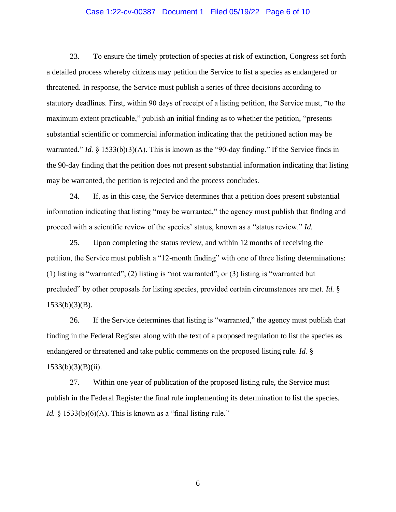### Case 1:22-cv-00387 Document 1 Filed 05/19/22 Page 6 of 10

23. To ensure the timely protection of species at risk of extinction, Congress set forth a detailed process whereby citizens may petition the Service to list a species as endangered or threatened. In response, the Service must publish a series of three decisions according to statutory deadlines. First, within 90 days of receipt of a listing petition, the Service must, "to the maximum extent practicable," publish an initial finding as to whether the petition, "presents substantial scientific or commercial information indicating that the petitioned action may be warranted." *Id.* § 1533(b)(3)(A). This is known as the "90-day finding." If the Service finds in the 90-day finding that the petition does not present substantial information indicating that listing may be warranted, the petition is rejected and the process concludes.

24. If, as in this case, the Service determines that a petition does present substantial information indicating that listing "may be warranted," the agency must publish that finding and proceed with a scientific review of the species' status, known as a "status review." *Id.*

25. Upon completing the status review, and within 12 months of receiving the petition, the Service must publish a "12-month finding" with one of three listing determinations: (1) listing is "warranted"; (2) listing is "not warranted"; or (3) listing is "warranted but precluded" by other proposals for listing species, provided certain circumstances are met. *Id.* § 1533(b)(3)(B).

26. If the Service determines that listing is "warranted," the agency must publish that finding in the Federal Register along with the text of a proposed regulation to list the species as endangered or threatened and take public comments on the proposed listing rule. *Id.* §  $1533(b)(3)(B)(ii)$ .

27. Within one year of publication of the proposed listing rule, the Service must publish in the Federal Register the final rule implementing its determination to list the species. *Id.*  $\frac{1}{2}$  1533(b)(6)(A). This is known as a "final listing rule."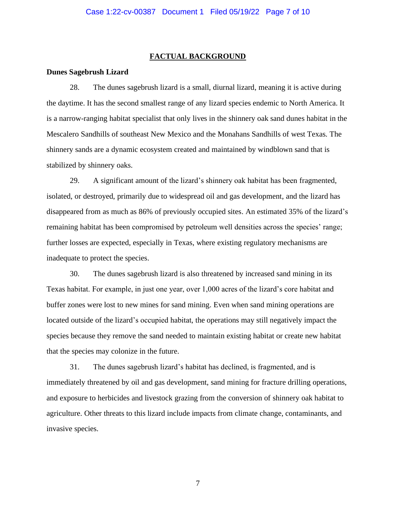#### **FACTUAL BACKGROUND**

### **Dunes Sagebrush Lizard**

28. The dunes sagebrush lizard is a small, diurnal lizard, meaning it is active during the daytime. It has the second smallest range of any lizard species endemic to North America. It is a narrow-ranging habitat specialist that only lives in the shinnery oak sand dunes habitat in the Mescalero Sandhills of southeast New Mexico and the Monahans Sandhills of west Texas. The shinnery sands are a dynamic ecosystem created and maintained by windblown sand that is stabilized by shinnery oaks.

29. A significant amount of the lizard's shinnery oak habitat has been fragmented, isolated, or destroyed, primarily due to widespread oil and gas development, and the lizard has disappeared from as much as 86% of previously occupied sites. An estimated 35% of the lizard's remaining habitat has been compromised by petroleum well densities across the species' range; further losses are expected, especially in Texas, where existing regulatory mechanisms are inadequate to protect the species.

30. The dunes sagebrush lizard is also threatened by increased sand mining in its Texas habitat. For example, in just one year, over 1,000 acres of the lizard's core habitat and buffer zones were lost to new mines for sand mining. Even when sand mining operations are located outside of the lizard's occupied habitat, the operations may still negatively impact the species because they remove the sand needed to maintain existing habitat or create new habitat that the species may colonize in the future.

31. The dunes sagebrush lizard's habitat has declined, is fragmented, and is immediately threatened by oil and gas development, sand mining for fracture drilling operations, and exposure to herbicides and livestock grazing from the conversion of shinnery oak habitat to agriculture. Other threats to this lizard include impacts from climate change, contaminants, and invasive species.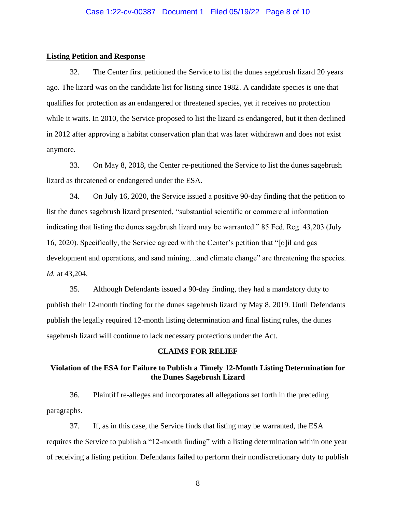### **Listing Petition and Response**

32. The Center first petitioned the Service to list the dunes sagebrush lizard 20 years ago. The lizard was on the candidate list for listing since 1982. A candidate species is one that qualifies for protection as an endangered or threatened species, yet it receives no protection while it waits. In 2010, the Service proposed to list the lizard as endangered, but it then declined in 2012 after approving a habitat conservation plan that was later withdrawn and does not exist anymore.

33. On May 8, 2018, the Center re-petitioned the Service to list the dunes sagebrush lizard as threatened or endangered under the ESA.

34. On July 16, 2020, the Service issued a positive 90-day finding that the petition to list the dunes sagebrush lizard presented, "substantial scientific or commercial information indicating that listing the dunes sagebrush lizard may be warranted." 85 Fed. Reg. 43,203 (July 16, 2020). Specifically, the Service agreed with the Center's petition that "[o]il and gas development and operations, and sand mining…and climate change" are threatening the species. *Id.* at 43,204.

35. Although Defendants issued a 90-day finding, they had a mandatory duty to publish their 12-month finding for the dunes sagebrush lizard by May 8, 2019. Until Defendants publish the legally required 12-month listing determination and final listing rules, the dunes sagebrush lizard will continue to lack necessary protections under the Act.

## **CLAIMS FOR RELIEF**

# **Violation of the ESA for Failure to Publish a Timely 12-Month Listing Determination for the Dunes Sagebrush Lizard**

36. Plaintiff re-alleges and incorporates all allegations set forth in the preceding paragraphs.

37. If, as in this case, the Service finds that listing may be warranted, the ESA requires the Service to publish a "12-month finding" with a listing determination within one year of receiving a listing petition. Defendants failed to perform their nondiscretionary duty to publish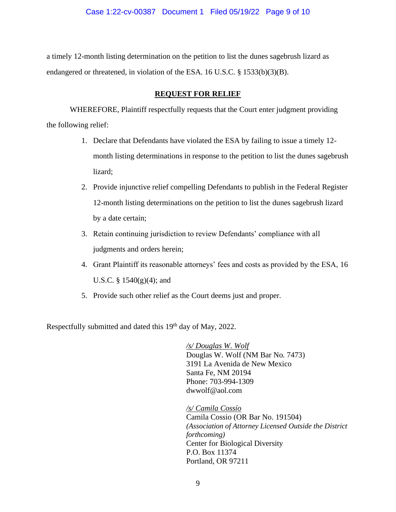a timely 12-month listing determination on the petition to list the dunes sagebrush lizard as endangered or threatened, in violation of the ESA. 16 U.S.C. § 1533(b)(3)(B).

# **REQUEST FOR RELIEF**

WHEREFORE, Plaintiff respectfully requests that the Court enter judgment providing the following relief:

- 1. Declare that Defendants have violated the ESA by failing to issue a timely 12 month listing determinations in response to the petition to list the dunes sagebrush lizard;
- 2. Provide injunctive relief compelling Defendants to publish in the Federal Register 12-month listing determinations on the petition to list the dunes sagebrush lizard by a date certain;
- 3. Retain continuing jurisdiction to review Defendants' compliance with all judgments and orders herein;
- 4. Grant Plaintiff its reasonable attorneys' fees and costs as provided by the ESA, 16 U.S.C. §  $1540(g)(4)$ ; and
- 5. Provide such other relief as the Court deems just and proper.

Respectfully submitted and dated this 19<sup>th</sup> day of May, 2022.

*/s/ Douglas W. Wolf* Douglas W. Wolf (NM Bar No. 7473) 3191 La Avenida de New Mexico Santa Fe, NM 20194 Phone: 703-994-1309 dwwolf@aol.com

*/s/ Camila Cossío*  Camila Cossio (OR Bar No. 191504) *(Association of Attorney Licensed Outside the District forthcoming)* Center for Biological Diversity P.O. Box 11374 Portland, OR 97211